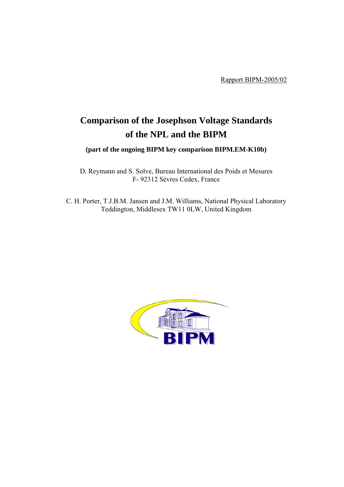Rapport BIPM-2005/02

# **Comparison of the Josephson Voltage Standards of the NPL and the BIPM**

**(part of the ongoing BIPM key comparison BIPM.EM-K10b)**

D. Reymann and S. Solve, Bureau International des Poids et Mesures F- 92312 Sèvres Cedex, France

C. H. Porter, T.J.B.M. Jansen and J.M. Williams, National Physical Laboratory Teddington, Middlesex TW11 0LW, United Kingdom

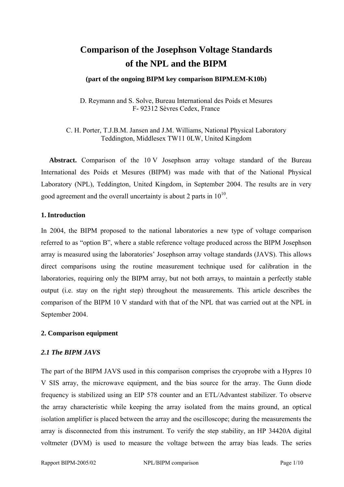## **Comparison of the Josephson Voltage Standards of the NPL and the BIPM**

#### **(part of the ongoing BIPM key comparison BIPM.EM-K10b)**

D. Reymann and S. Solve, Bureau International des Poids et Mesures F- 92312 Sèvres Cedex, France

C. H. Porter, T.J.B.M. Jansen and J.M. Williams, National Physical Laboratory Teddington, Middlesex TW11 0LW, United Kingdom

**Abstract.** Comparison of the 10 V Josephson array voltage standard of the Bureau International des Poids et Mesures (BIPM) was made with that of the National Physical Laboratory (NPL), Teddington, United Kingdom, in September 2004. The results are in very good agreement and the overall uncertainty is about 2 parts in  $10^{10}$ .

#### **1. Introduction**

In 2004, the BIPM proposed to the national laboratories a new type of voltage comparison referred to as "option B", where a stable reference voltage produced across the BIPM Josephson array is measured using the laboratories' Josephson array voltage standards (JAVS). This allows direct comparisons using the routine measurement technique used for calibration in the laboratories, requiring only the BIPM array, but not both arrays, to maintain a perfectly stable output (i.e. stay on the right step) throughout the measurements. This article describes the comparison of the BIPM 10 V standard with that of the NPL that was carried out at the NPL in September 2004.

## **2. Comparison equipment**

#### *2.1 The BIPM JAVS*

The part of the BIPM JAVS used in this comparison comprises the cryoprobe with a Hypres 10 V SIS array, the microwave equipment, and the bias source for the array. The Gunn diode frequency is stabilized using an EIP 578 counter and an ETL/Advantest stabilizer. To observe the array characteristic while keeping the array isolated from the mains ground, an optical isolation amplifier is placed between the array and the oscilloscope; during the measurements the array is disconnected from this instrument. To verify the step stability, an HP 34420A digital voltmeter (DVM) is used to measure the voltage between the array bias leads. The series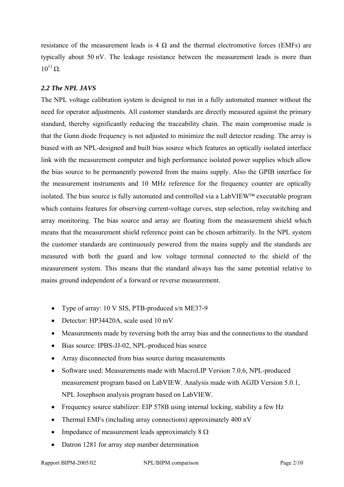resistance of the measurement leads is 4  $\Omega$  and the thermal electromotive forces (EMFs) are typically about 50 nV. The leakage resistance between the measurement leads is more than  $10^{11} \Omega$ .

## *2.2 The NPL JAVS*

The NPL voltage calibration system is designed to run in a fully automated manner without the need for operator adjustments. All customer standards are directly measured against the primary standard, thereby significantly reducing the traceability chain. The main compromise made is that the Gunn diode frequency is not adjusted to minimize the null detector reading. The array is biased with an NPL-designed and built bias source which features an optically isolated interface link with the measurement computer and high performance isolated power supplies which allow the bias source to be permanently powered from the mains supply. Also the GPIB interface for the measurement instruments and 10 MHz reference for the frequency counter are optically isolated. The bias source is fully automated and controlled via a LabVIEW™ executable program which contains features for observing current-voltage curves, step selection, relay switching and array monitoring. The bias source and array are floating from the measurement shield which means that the measurement shield reference point can be chosen arbitrarily. In the NPL system the customer standards are continuously powered from the mains supply and the standards are measured with both the guard and low voltage terminal connected to the shield of the measurement system. This means that the standard always has the same potential relative to mains ground independent of a forward or reverse measurement.

- Type of array: 10 V SIS, PTB-produced s/n ME37-9
- Detector: HP34420A, scale used 10 mV
- Measurements made by reversing both the array bias and the connections to the standard
- Bias source: IPBS-JJ-02, NPL-produced bias source
- Array disconnected from bias source during measurements
- Software used: Measurements made with MacroLIP Version 7.0.6, NPL-produced measurement program based on LabVIEW. Analysis made with AGJD Version 5.0.1, NPL Josephson analysis program based on LabVIEW.
- Frequency source stabilizer: EIP 578B using internal locking, stability a few Hz
- Thermal EMFs (including array connections) approximately 400 nV
- Impedance of measurement leads approximately  $8 \Omega$
- Datron 1281 for array step number determination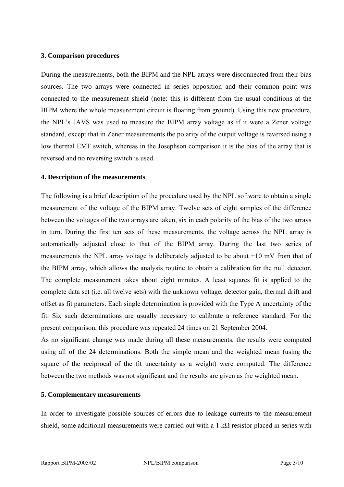#### **3. Comparison procedures**

During the measurements, both the BIPM and the NPL arrays were disconnected from their bias sources. The two arrays were connected in series opposition and their common point was connected to the measurement shield (note: this is different from the usual conditions at the BIPM where the whole measurement circuit is floating from ground). Using this new procedure, the NPL's JAVS was used to measure the BIPM array voltage as if it were a Zener voltage standard, except that in Zener measurements the polarity of the output voltage is reversed using a low thermal EMF switch, whereas in the Josephson comparison it is the bias of the array that is reversed and no reversing switch is used.

#### **4. Description of the measurements**

The following is a brief description of the procedure used by the NPL software to obtain a single measurement of the voltage of the BIPM array. Twelve sets of eight samples of the difference between the voltages of the two arrays are taken, six in each polarity of the bias of the two arrays in turn. During the first ten sets of these measurements, the voltage across the NPL array is automatically adjusted close to that of the BIPM array. During the last two series of measurements the NPL array voltage is deliberately adjusted to be about +10 mV from that of the BIPM array, which allows the analysis routine to obtain a calibration for the null detector. The complete measurement takes about eight minutes. A least squares fit is applied to the complete data set (i.e. all twelve sets) with the unknown voltage, detector gain, thermal drift and offset as fit parameters. Each single determination is provided with the Type A uncertainty of the fit. Six such determinations are usually necessary to calibrate a reference standard. For the present comparison, this procedure was repeated 24 times on 21 September 2004.

As no significant change was made during all these measurements, the results were computed using all of the 24 determinations. Both the simple mean and the weighted mean (using the square of the reciprocal of the fit uncertainty as a weight) were computed. The difference between the two methods was not significant and the results are given as the weighted mean.

## **5. Complementary measurements**

In order to investigate possible sources of errors due to leakage currents to the measurement shield, some additional measurements were carried out with a 1 kΩ resistor placed in series with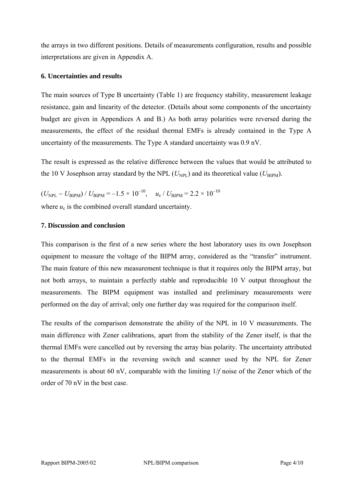the arrays in two different positions. Details of measurements configuration, results and possible interpretations are given in Appendix A.

## **6. Uncertainties and results**

The main sources of Type B uncertainty (Table 1) are frequency stability, measurement leakage resistance, gain and linearity of the detector. (Details about some components of the uncertainty budget are given in Appendices A and B.) As both array polarities were reversed during the measurements, the effect of the residual thermal EMFs is already contained in the Type A uncertainty of the measurements. The Type A standard uncertainty was 0.9 nV.

The result is expressed as the relative difference between the values that would be attributed to the 10 V Josephson array standard by the NPL  $(U_{\text{NPL}})$  and its theoretical value  $(U_{\text{RIPM}})$ .

 $(U_{\text{NPL}} - U_{\text{BIPM}}) / U_{\text{BIPM}} = -1.5 \times 10^{-10}$ ,  $u_c / U_{\text{BIPM}} = 2.2 \times 10^{-10}$ where  $u_c$  is the combined overall standard uncertainty.

## **7. Discussion and conclusion**

This comparison is the first of a new series where the host laboratory uses its own Josephson equipment to measure the voltage of the BIPM array, considered as the "transfer" instrument. The main feature of this new measurement technique is that it requires only the BIPM array, but not both arrays, to maintain a perfectly stable and reproducible 10 V output throughout the measurements. The BIPM equipment was installed and preliminary measurements were performed on the day of arrival; only one further day was required for the comparison itself.

The results of the comparison demonstrate the ability of the NPL in 10 V measurements. The main difference with Zener calibrations, apart from the stability of the Zener itself, is that the thermal EMFs were cancelled out by reversing the array bias polarity. The uncertainty attributed to the thermal EMFs in the reversing switch and scanner used by the NPL for Zener measurements is about 60 nV, comparable with the limiting 1/*f* noise of the Zener which of the order of 70 nV in the best case.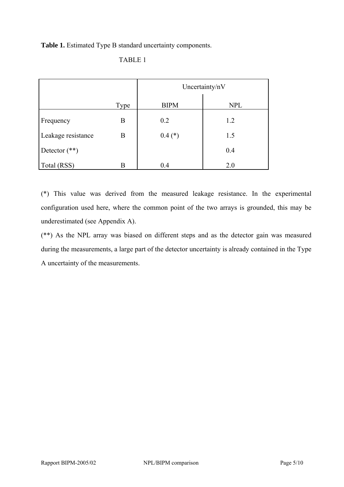**Table 1.** Estimated Type B standard uncertainty components.

|--|--|

|                    |      | Uncertainty/nV |            |
|--------------------|------|----------------|------------|
|                    | Type | <b>BIPM</b>    | <b>NPL</b> |
| Frequency          | B    | 0.2            | 1.2        |
| Leakage resistance | B    | $0.4$ (*)      | 1.5        |
| Detector $(**)$    |      |                | 0.4        |
| Total (RSS)        | R    | 0.4            | 2.0        |

(\*) This value was derived from the measured leakage resistance. In the experimental configuration used here, where the common point of the two arrays is grounded, this may be underestimated (see Appendix A).

(\*\*) As the NPL array was biased on different steps and as the detector gain was measured during the measurements, a large part of the detector uncertainty is already contained in the Type A uncertainty of the measurements.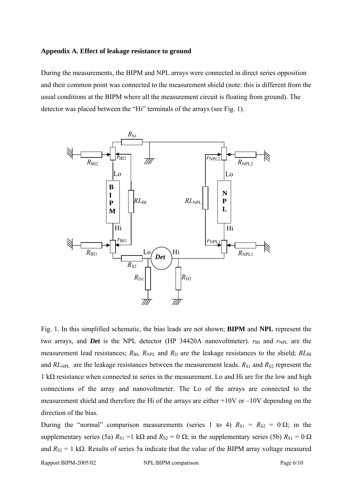#### **Appendix A. Effect of leakage resistance to ground**

During the measurements, the BIPM and NPL arrays were connected in direct series opposition and their common point was connected to the measurement shield (note: this is different from the usual conditions at the BIPM where all the measurement circuit is floating from ground). The detector was placed between the "Hi" terminals of the arrays (see Fig. 1).



Fig. 1. In this simplified schematic, the bias leads are not shown; **BIPM** and **NPL** represent the two arrays, and *Det* is the NPL detector (HP 34420A nanovoltmeter).  $r_{BI}$  and  $r_{NPL}$  are the measurement lead resistances;  $R_{\text{BI}}$ ,  $R_{\text{NPL}}$  and  $R_{\text{D}}$  are the leakage resistances to the shield;  $RL_{\text{BI}}$ and  $RL<sub>NPL</sub>$  are the leakage resistances between the measurement leads.  $R<sub>S1</sub>$  and  $R<sub>S2</sub>$  represent the 1 kΩ resistance when connected in series in the measurement. Lo and Hi are for the low and high connections of the array and nanovoltmeter. The Lo of the arrays are connected to the measurement shield and therefore the Hi of the arrays are either +10V or –10V depending on the direction of the bias.

During the "normal" comparison measurements (series 1 to 4)  $R_{S1} = R_{S2} = 0 \Omega$ ; in the supplementary series (5a)  $R_{S1} = 1 \text{ k}\Omega$  and  $R_{S2} = 0 \Omega$ ; in the supplementary series (5b)  $R_{S1} = 0 \Omega$ and  $R_{S2} = 1$  k $\Omega$ . Results of series 5a indicate that the value of the BIPM array voltage measured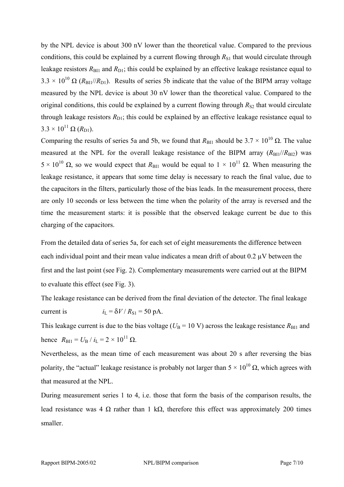by the NPL device is about 300 nV lower than the theoretical value. Compared to the previous conditions, this could be explained by a current flowing through  $R_{S1}$  that would circulate through leakage resistors  $R_{\text{B11}}$  and  $R_{\text{D1}}$ ; this could be explained by an effective leakage resistance equal to  $3.3 \times 10^{10} \Omega$  (*R*<sub>BI1</sub>//*R*<sub>D1</sub>). Results of series 5b indicate that the value of the BIPM array voltage measured by the NPL device is about 30 nV lower than the theoretical value. Compared to the original conditions, this could be explained by a current flowing through  $R_{S2}$  that would circulate through leakage resistors  $R_{D1}$ ; this could be explained by an effective leakage resistance equal to  $3.3 \times 10^{11} \Omega (R_{D1}).$ 

Comparing the results of series 5a and 5b, we found that  $R_{\text{BII}}$  should be  $3.7 \times 10^{10} \Omega$ . The value measured at the NPL for the overall leakage resistance of the BIPM array  $(R_{\text{B1}})/R_{\text{B12}}$ ) was  $5 \times 10^{10}$  Ω, so we would expect that *R*<sub>BI1</sub> would be equal to  $1 \times 10^{11}$  Ω. When measuring the leakage resistance, it appears that some time delay is necessary to reach the final value, due to the capacitors in the filters, particularly those of the bias leads. In the measurement process, there are only 10 seconds or less between the time when the polarity of the array is reversed and the time the measurement starts: it is possible that the observed leakage current be due to this charging of the capacitors.

From the detailed data of series 5a, for each set of eight measurements the difference between each individual point and their mean value indicates a mean drift of about 0.2 µV between the first and the last point (see Fig. 2). Complementary measurements were carried out at the BIPM to evaluate this effect (see Fig. 3).

The leakage resistance can be derived from the final deviation of the detector. The final leakage current is  $i_L = \delta V / R_{S1} = 50 \text{ pA}.$ 

This leakage current is due to the bias voltage ( $U<sub>B</sub> = 10$  V) across the leakage resistance  $R_{\text{B11}}$  and hence  $R_{\text{BII}} = U_{\text{B}} / i_{\text{L}} = 2 \times 10^{11} \Omega$ .

Nevertheless, as the mean time of each measurement was about 20 s after reversing the bias polarity, the "actual" leakage resistance is probably not larger than  $5 \times 10^{10} \Omega$ , which agrees with that measured at the NPL.

During measurement series 1 to 4, i.e. those that form the basis of the comparison results, the lead resistance was 4 Ω rather than 1 kΩ, therefore this effect was approximately 200 times smaller.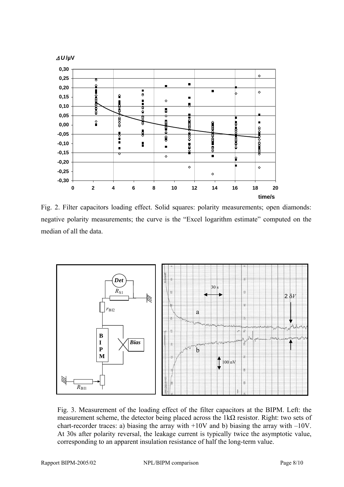

Fig. 2. Filter capacitors loading effect. Solid squares: polarity measurements; open diamonds: negative polarity measurements; the curve is the "Excel logarithm estimate" computed on the median of all the data.



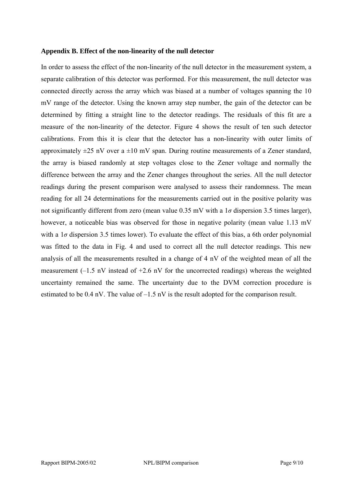#### **Appendix B. Effect of the non-linearity of the null detector**

In order to assess the effect of the non-linearity of the null detector in the measurement system, a separate calibration of this detector was performed. For this measurement, the null detector was connected directly across the array which was biased at a number of voltages spanning the 10 mV range of the detector. Using the known array step number, the gain of the detector can be determined by fitting a straight line to the detector readings. The residuals of this fit are a measure of the non-linearity of the detector. Figure 4 shows the result of ten such detector calibrations. From this it is clear that the detector has a non-linearity with outer limits of approximately  $\pm 25$  nV over a  $\pm 10$  mV span. During routine measurements of a Zener standard, the array is biased randomly at step voltages close to the Zener voltage and normally the difference between the array and the Zener changes throughout the series. All the null detector readings during the present comparison were analysed to assess their randomness. The mean reading for all 24 determinations for the measurements carried out in the positive polarity was not significantly different from zero (mean value 0.35 mV with a 1*σ* dispersion 3.5 times larger), however, a noticeable bias was observed for those in negative polarity (mean value 1.13 mV with a  $1\sigma$  dispersion 3.5 times lower). To evaluate the effect of this bias, a 6th order polynomial was fitted to the data in Fig. 4 and used to correct all the null detector readings. This new analysis of all the measurements resulted in a change of 4 nV of the weighted mean of all the measurement (–1.5 nV instead of +2.6 nV for the uncorrected readings) whereas the weighted uncertainty remained the same. The uncertainty due to the DVM correction procedure is estimated to be  $0.4 \text{ nV}$ . The value of  $-1.5 \text{ nV}$  is the result adopted for the comparison result.